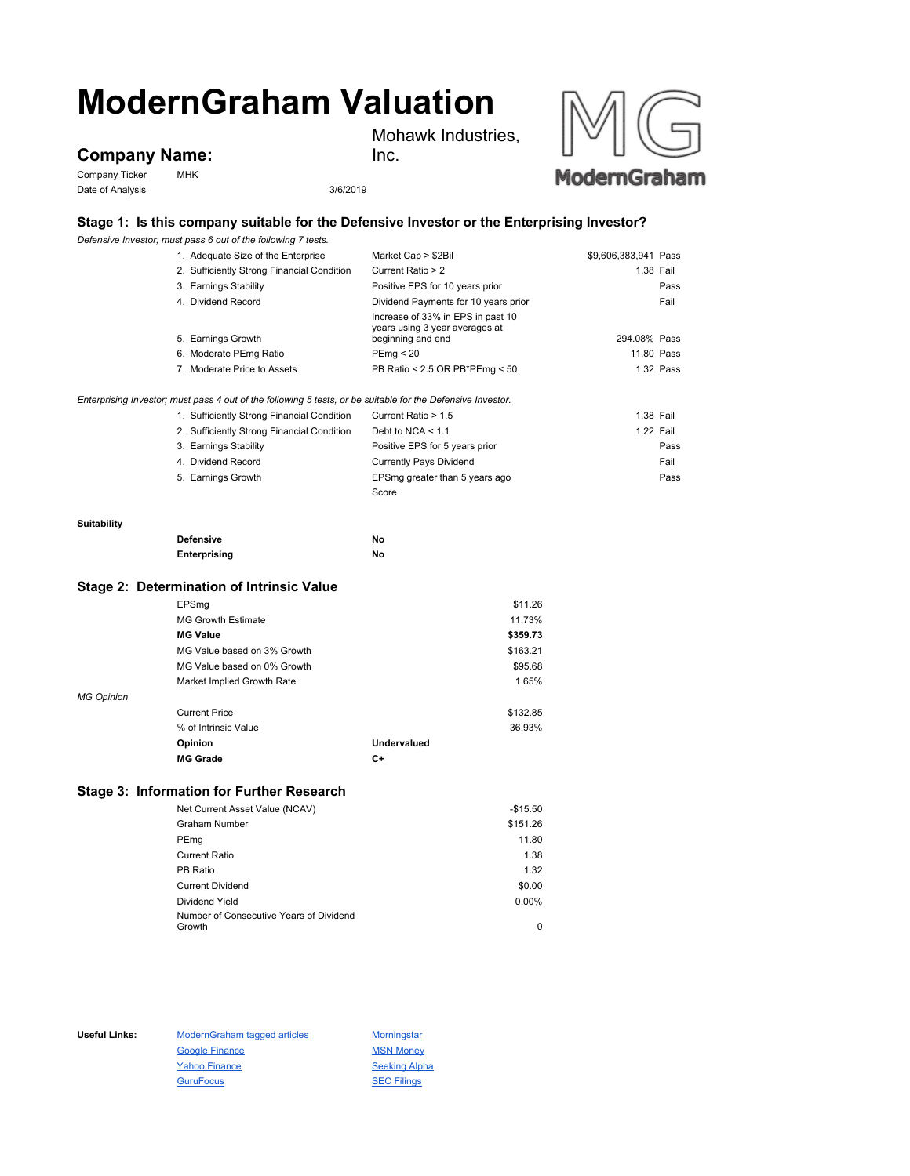# **ModernGraham Valuation**

## **Company Name:**

Company Ticker MHK Date of Analysis 3/6/2019





### **Stage 1: Is this company suitable for the Defensive Investor or the Enterprising Investor?**

*Defensive Investor; must pass 6 out of the following 7 tests.*

|                    | Defensive Investor; must pass 6 out of the following 7 tests.                                               |                                                                                          |                      |
|--------------------|-------------------------------------------------------------------------------------------------------------|------------------------------------------------------------------------------------------|----------------------|
|                    | 1. Adequate Size of the Enterprise                                                                          | Market Cap > \$2Bil                                                                      | \$9,606,383,941 Pass |
|                    | 2. Sufficiently Strong Financial Condition                                                                  | Current Ratio > 2                                                                        | 1.38 Fail            |
|                    | 3. Earnings Stability                                                                                       | Positive EPS for 10 years prior                                                          | Pass                 |
|                    | 4. Dividend Record                                                                                          | Dividend Payments for 10 years prior                                                     | Fail                 |
|                    | 5. Earnings Growth                                                                                          | Increase of 33% in EPS in past 10<br>years using 3 year averages at<br>beginning and end | 294.08% Pass         |
|                    | 6. Moderate PEmg Ratio                                                                                      | PEmg < 20                                                                                | 11.80 Pass           |
|                    | 7. Moderate Price to Assets                                                                                 | PB Ratio < 2.5 OR PB*PEmg < 50                                                           | 1.32 Pass            |
|                    | Enterprising Investor; must pass 4 out of the following 5 tests, or be suitable for the Defensive Investor. |                                                                                          |                      |
|                    | 1. Sufficiently Strong Financial Condition                                                                  | Current Ratio > 1.5                                                                      | 1.38 Fail            |
|                    | 2. Sufficiently Strong Financial Condition                                                                  | Debt to NCA $<$ 1.1                                                                      | 1.22 Fail            |
|                    | 3. Earnings Stability                                                                                       | Positive EPS for 5 years prior                                                           | Pass                 |
|                    | 4. Dividend Record                                                                                          | <b>Currently Pays Dividend</b>                                                           | Fail                 |
|                    | 5. Earnings Growth                                                                                          | EPSmg greater than 5 years ago                                                           | Pass                 |
|                    |                                                                                                             | Score                                                                                    |                      |
| <b>Suitability</b> |                                                                                                             |                                                                                          |                      |
|                    | <b>Defensive</b>                                                                                            | No                                                                                       |                      |
|                    | Enterprising                                                                                                | No                                                                                       |                      |
|                    | Stage 2: Determination of Intrinsic Value                                                                   |                                                                                          |                      |
|                    | EPSmg                                                                                                       | \$11.26                                                                                  |                      |
|                    | <b>MG Growth Estimate</b>                                                                                   | 11.73%                                                                                   |                      |
|                    | <b>MG Value</b>                                                                                             | \$359.73                                                                                 |                      |
|                    | MG Value based on 3% Growth                                                                                 | \$163.21                                                                                 |                      |
|                    | MG Value based on 0% Growth                                                                                 | \$95.68                                                                                  |                      |
|                    | Market Implied Growth Rate                                                                                  | 1.65%                                                                                    |                      |
| <b>MG Opinion</b>  |                                                                                                             |                                                                                          |                      |
|                    | <b>Current Price</b>                                                                                        | \$132.85                                                                                 |                      |
|                    | % of Intrinsic Value                                                                                        | 36.93%                                                                                   |                      |
|                    | Opinion                                                                                                     | <b>Undervalued</b>                                                                       |                      |
|                    | <b>MG Grade</b>                                                                                             | $C+$                                                                                     |                      |
|                    | <b>Stage 3: Information for Further Research</b>                                                            |                                                                                          |                      |
|                    | Net Current Asset Value (NCAV)                                                                              | $-$15.50$                                                                                |                      |
|                    |                                                                                                             | 0.45400                                                                                  |                      |

| $1101$ variout resource the $1107$ to $1$ |          |
|-------------------------------------------|----------|
| <b>Graham Number</b>                      | \$151.26 |
| PEmg                                      | 11.80    |
| Current Ratio                             | 1.38     |
| PB Ratio                                  | 1.32     |
| <b>Current Dividend</b>                   | \$0.00   |
| Dividend Yield                            | $0.00\%$ |
| Number of Consecutive Years of Dividend   |          |
| Growth                                    | 0        |

Useful Links: ModernGraham tagged articles Morningstar Google Finance MSN Money Yahoo Finance Seeking Alpha GuruFocus SEC Filings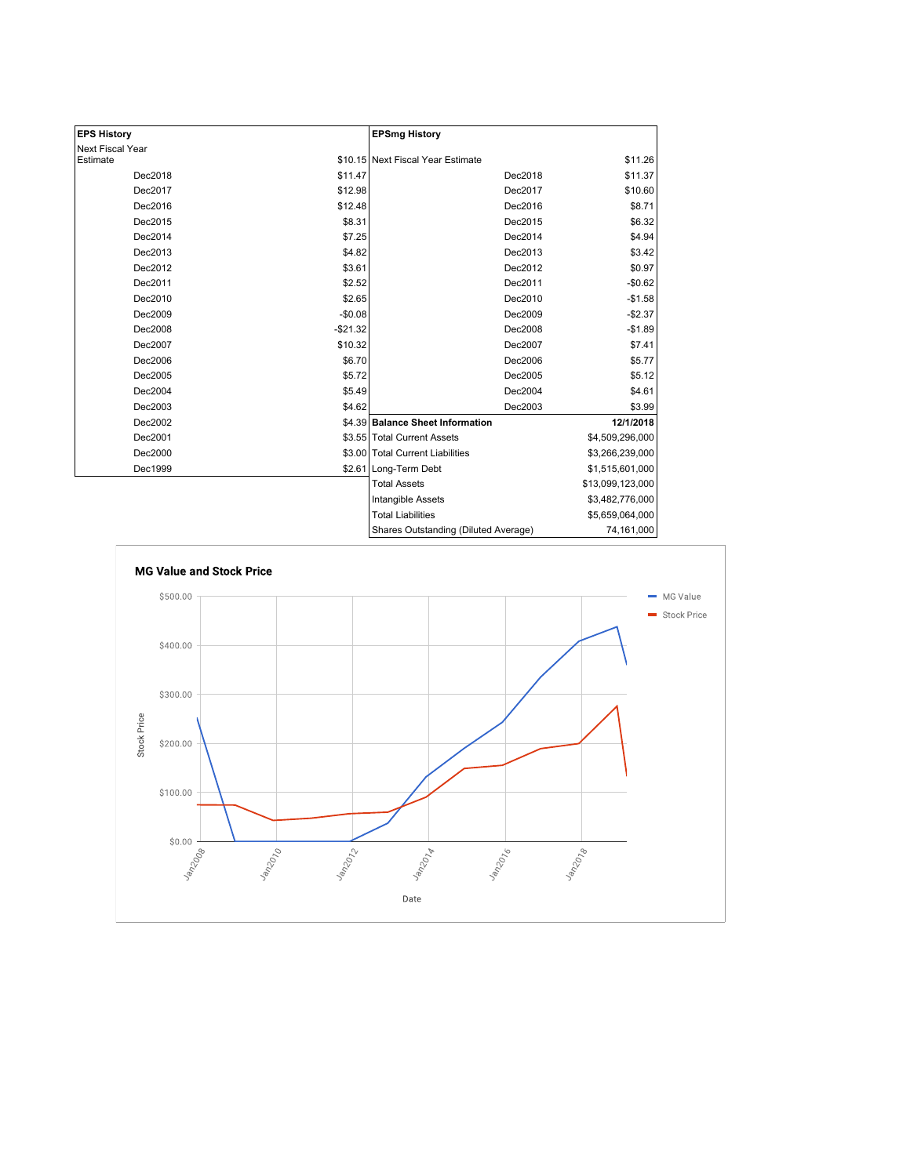| <b>EPS History</b> |           | <b>EPSmg History</b>                 |                  |
|--------------------|-----------|--------------------------------------|------------------|
| Next Fiscal Year   |           |                                      |                  |
| Estimate           |           | \$10.15 Next Fiscal Year Estimate    | \$11.26          |
| Dec2018            | \$11.47   | Dec2018                              | \$11.37          |
| Dec2017            | \$12.98   | Dec2017                              | \$10.60          |
| Dec2016            | \$12.48   | Dec2016                              | \$8.71           |
| Dec2015            | \$8.31    | Dec2015                              | \$6.32           |
| Dec2014            | \$7.25    | Dec2014                              | \$4.94           |
| Dec2013            | \$4.82    | Dec2013                              | \$3.42           |
| Dec2012            | \$3.61    | Dec2012                              | \$0.97           |
| Dec2011            | \$2.52    | Dec2011                              | $-$0.62$         |
| Dec2010            | \$2.65    | Dec2010                              | $-$1.58$         |
| Dec2009            | $-$0.08$  | Dec2009                              | $-$2.37$         |
| Dec2008            | $-$21.32$ | Dec2008                              | $-$1.89$         |
| Dec2007            | \$10.32   | Dec2007                              | \$7.41           |
| Dec2006            | \$6.70    | Dec2006                              | \$5.77           |
| Dec2005            | \$5.72    | Dec2005                              | \$5.12           |
| Dec2004            | \$5.49    | Dec2004                              | \$4.61           |
| Dec2003            | \$4.62    | Dec2003                              | \$3.99           |
| Dec2002            |           | \$4.39 Balance Sheet Information     | 12/1/2018        |
| Dec2001            |           | \$3.55 Total Current Assets          | \$4,509,296,000  |
| Dec2000            |           | \$3.00 Total Current Liabilities     | \$3,266,239,000  |
| Dec1999            |           | \$2.61 Long-Term Debt                | \$1,515,601,000  |
|                    |           | <b>Total Assets</b>                  | \$13,099,123,000 |
|                    |           | <b>Intangible Assets</b>             | \$3,482,776,000  |
|                    |           | <b>Total Liabilities</b>             | \$5,659,064,000  |
|                    |           | Shares Outstanding (Diluted Average) | 74,161,000       |